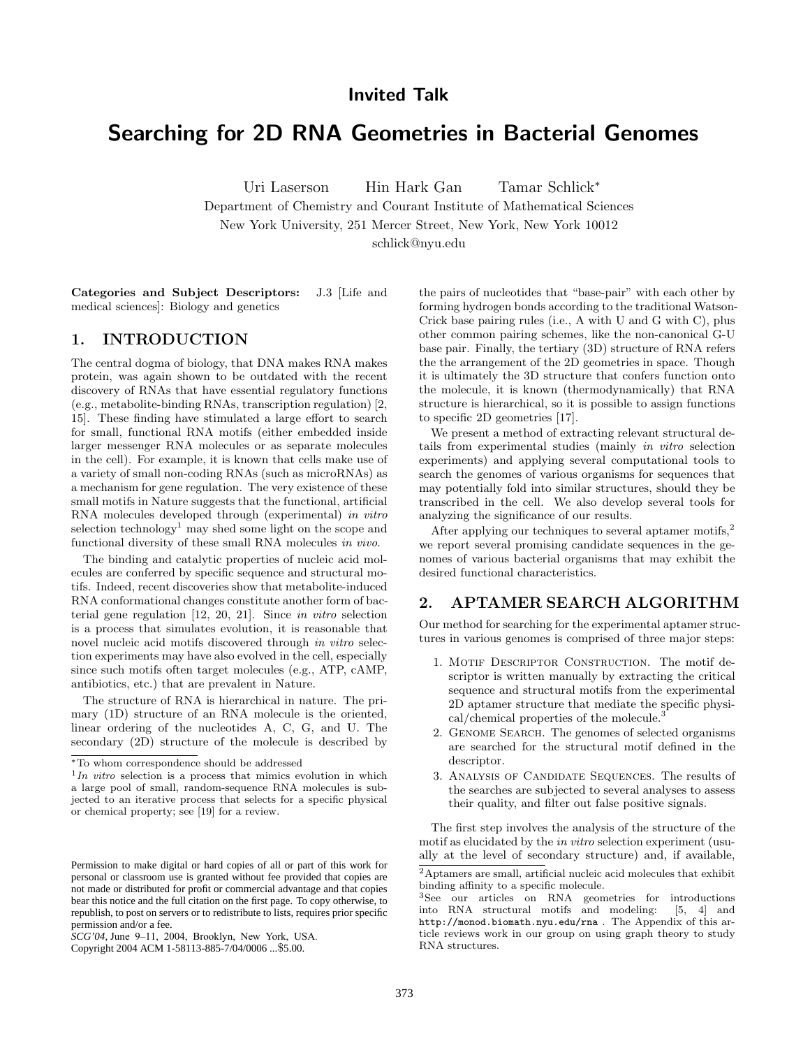# **Invited Talk**

# **Searching for 2D RNA Geometries in Bacterial Genomes**

Uri Laserson Hin Hark Gan Tamar Schlick<sup>∗</sup>

Department of Chemistry and Courant Institute of Mathematical Sciences New York University, 251 Mercer Street, New York, New York 10012 schlick@nyu.edu

**Categories and Subject Descriptors:** J.3 [Life and medical sciences]: Biology and genetics

### **1. INTRODUCTION**

The central dogma of biology, that DNA makes RNA makes protein, was again shown to be outdated with the recent discovery of RNAs that have essential regulatory functions (e.g., metabolite-binding RNAs, transcription regulation) [2, 15]. These finding have stimulated a large effort to search for small, functional RNA motifs (either embedded inside larger messenger RNA molecules or as separate molecules in the cell). For example, it is known that cells make use of a variety of small non-coding RNAs (such as microRNAs) as a mechanism for gene regulation. The very existence of these small motifs in Nature suggests that the functional, artificial RNA molecules developed through (experimental) in vitro selection technology<sup>1</sup> may shed some light on the scope and functional diversity of these small RNA molecules in vivo.

The binding and catalytic properties of nucleic acid molecules are conferred by specific sequence and structural motifs. Indeed, recent discoveries show that metabolite-induced RNA conformational changes constitute another form of bacterial gene regulation [12, 20, 21]. Since in vitro selection is a process that simulates evolution, it is reasonable that novel nucleic acid motifs discovered through in vitro selection experiments may have also evolved in the cell, especially since such motifs often target molecules (e.g., ATP, cAMP, antibiotics, etc.) that are prevalent in Nature.

The structure of RNA is hierarchical in nature. The primary (1D) structure of an RNA molecule is the oriented, linear ordering of the nucleotides A, C, G, and U. The secondary (2D) structure of the molecule is described by

the pairs of nucleotides that "base-pair" with each other by forming hydrogen bonds according to the traditional Watson-Crick base pairing rules (i.e., A with U and G with C), plus other common pairing schemes, like the non-canonical G-U base pair. Finally, the tertiary (3D) structure of RNA refers the the arrangement of the 2D geometries in space. Though it is ultimately the 3D structure that confers function onto the molecule, it is known (thermodynamically) that RNA structure is hierarchical, so it is possible to assign functions to specific 2D geometries [17].

We present a method of extracting relevant structural details from experimental studies (mainly in vitro selection experiments) and applying several computational tools to search the genomes of various organisms for sequences that may potentially fold into similar structures, should they be transcribed in the cell. We also develop several tools for analyzing the significance of our results.

After applying our techniques to several aptamer motifs,<sup>2</sup> we report several promising candidate sequences in the genomes of various bacterial organisms that may exhibit the desired functional characteristics.

# **2. APTAMER SEARCH ALGORITHM**

Our method for searching for the experimental aptamer structures in various genomes is comprised of three major steps:

- 1. Motif Descriptor Construction. The motif descriptor is written manually by extracting the critical sequence and structural motifs from the experimental 2D aptamer structure that mediate the specific physical/chemical properties of the molecule.<sup>3</sup>
- 2. Genome Search. The genomes of selected organisms are searched for the structural motif defined in the descriptor.
- 3. Analysis of Candidate Sequences. The results of the searches are subjected to several analyses to assess their quality, and filter out false positive signals.

The first step involves the analysis of the structure of the motif as elucidated by the in vitro selection experiment (usually at the level of secondary structure) and, if available,

<sup>∗</sup>To whom correspondence should be addressed

 $1$ In vitro selection is a process that mimics evolution in which a large pool of small, random-sequence RNA molecules is subjected to an iterative process that selects for a specific physical or chemical property; see [19] for a review.

Permission to make digital or hard copies of all or part of this work for personal or classroom use is granted without fee provided that copies are not made or distributed for profit or commercial advantage and that copies bear this notice and the full citation on the first page. To copy otherwise, to republish, to post on servers or to redistribute to lists, requires prior specific permission and/or a fee.

*SCG'04,* June 9–11, 2004, Brooklyn, New York, USA.

Copyright 2004 ACM 1-58113-885-7/04/0006 ...\$5.00.

<sup>2</sup>Aptamers are small, artificial nucleic acid molecules that exhibit binding affinity to a specific molecule.

<sup>3</sup>See our articles on RNA geometries for introductions into RNA structural motifs and modeling: [5, 4] and http://monod.biomath.nyu.edu/rna . The Appendix of this article reviews work in our group on using graph theory to study RNA structures.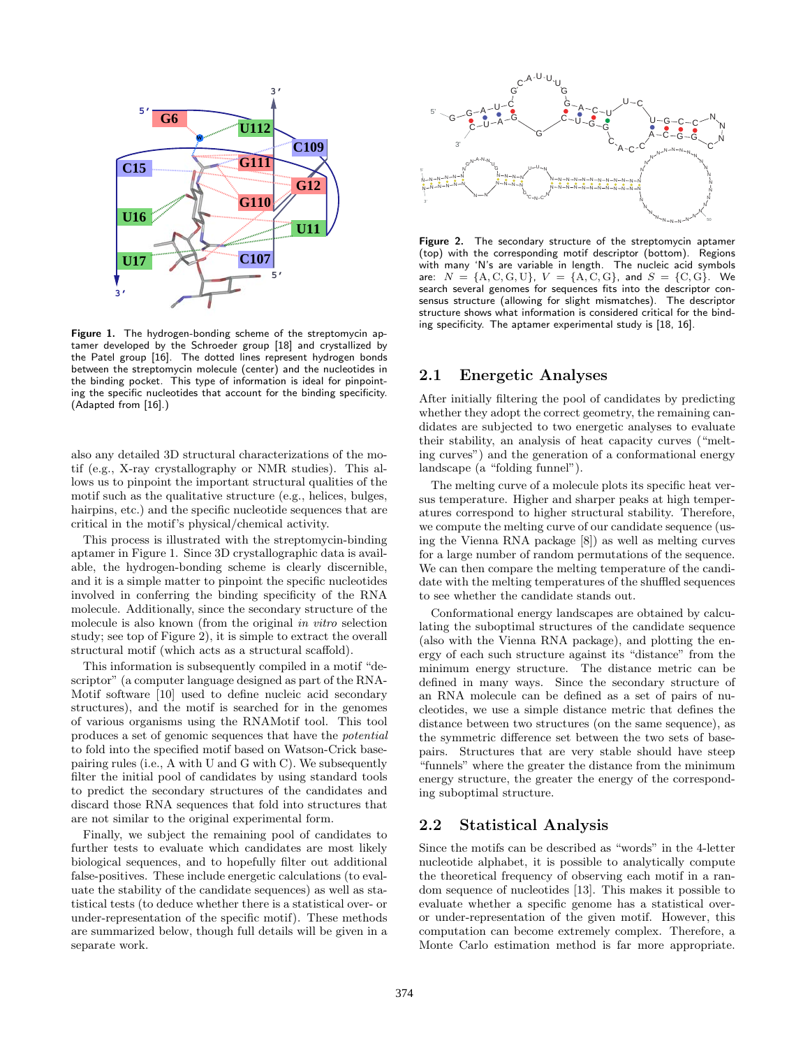

**Figure 1.** The hydrogen-bonding scheme of the streptomycin aptamer developed by the Schroeder group [18] and crystallized by the Patel group [16]. The dotted lines represent hydrogen bonds between the streptomycin molecule (center) and the nucleotides in the binding pocket. This type of information is ideal for pinpointing the specific nucleotides that account for the binding specificity. (Adapted from [16].)

also any detailed 3D structural characterizations of the motif (e.g., X-ray crystallography or NMR studies). This allows us to pinpoint the important structural qualities of the motif such as the qualitative structure (e.g., helices, bulges, hairpins, etc.) and the specific nucleotide sequences that are critical in the motif's physical/chemical activity.

This process is illustrated with the streptomycin-binding aptamer in Figure 1. Since 3D crystallographic data is available, the hydrogen-bonding scheme is clearly discernible, and it is a simple matter to pinpoint the specific nucleotides involved in conferring the binding specificity of the RNA molecule. Additionally, since the secondary structure of the molecule is also known (from the original in vitro selection study; see top of Figure 2), it is simple to extract the overall structural motif (which acts as a structural scaffold).

This information is subsequently compiled in a motif "descriptor" (a computer language designed as part of the RNA-Motif software [10] used to define nucleic acid secondary structures), and the motif is searched for in the genomes of various organisms using the RNAMotif tool. This tool produces a set of genomic sequences that have the potential to fold into the specified motif based on Watson-Crick basepairing rules (i.e., A with U and G with C). We subsequently filter the initial pool of candidates by using standard tools to predict the secondary structures of the candidates and discard those RNA sequences that fold into structures that are not similar to the original experimental form.

Finally, we subject the remaining pool of candidates to further tests to evaluate which candidates are most likely biological sequences, and to hopefully filter out additional false-positives. These include energetic calculations (to evaluate the stability of the candidate sequences) as well as statistical tests (to deduce whether there is a statistical over- or under-representation of the specific motif). These methods are summarized below, though full details will be given in a separate work.



**Figure 2.** The secondary structure of the streptomycin aptamer (top) with the corresponding motif descriptor (bottom). Regions with many 'N's are variable in length. The nucleic acid symbols are:  $N = \{A, C, G, U\}$ ,  $V = \{A, C, G\}$ , and  $S = \{C, G\}$ . We search several genomes for sequences fits into the descriptor consensus structure (allowing for slight mismatches). The descriptor structure shows what information is considered critical for the binding specificity. The aptamer experimental study is [18, 16].

### **2.1 Energetic Analyses**

After initially filtering the pool of candidates by predicting whether they adopt the correct geometry, the remaining candidates are subjected to two energetic analyses to evaluate their stability, an analysis of heat capacity curves ("melting curves") and the generation of a conformational energy landscape (a "folding funnel").

The melting curve of a molecule plots its specific heat versus temperature. Higher and sharper peaks at high temperatures correspond to higher structural stability. Therefore, we compute the melting curve of our candidate sequence (using the Vienna RNA package [8]) as well as melting curves for a large number of random permutations of the sequence. We can then compare the melting temperature of the candidate with the melting temperatures of the shuffled sequences to see whether the candidate stands out.

Conformational energy landscapes are obtained by calculating the suboptimal structures of the candidate sequence (also with the Vienna RNA package), and plotting the energy of each such structure against its "distance" from the minimum energy structure. The distance metric can be defined in many ways. Since the secondary structure of an RNA molecule can be defined as a set of pairs of nucleotides, we use a simple distance metric that defines the distance between two structures (on the same sequence), as the symmetric difference set between the two sets of basepairs. Structures that are very stable should have steep "funnels" where the greater the distance from the minimum energy structure, the greater the energy of the corresponding suboptimal structure.

#### **2.2 Statistical Analysis**

Since the motifs can be described as "words" in the 4-letter nucleotide alphabet, it is possible to analytically compute the theoretical frequency of observing each motif in a random sequence of nucleotides [13]. This makes it possible to evaluate whether a specific genome has a statistical overor under-representation of the given motif. However, this computation can become extremely complex. Therefore, a Monte Carlo estimation method is far more appropriate.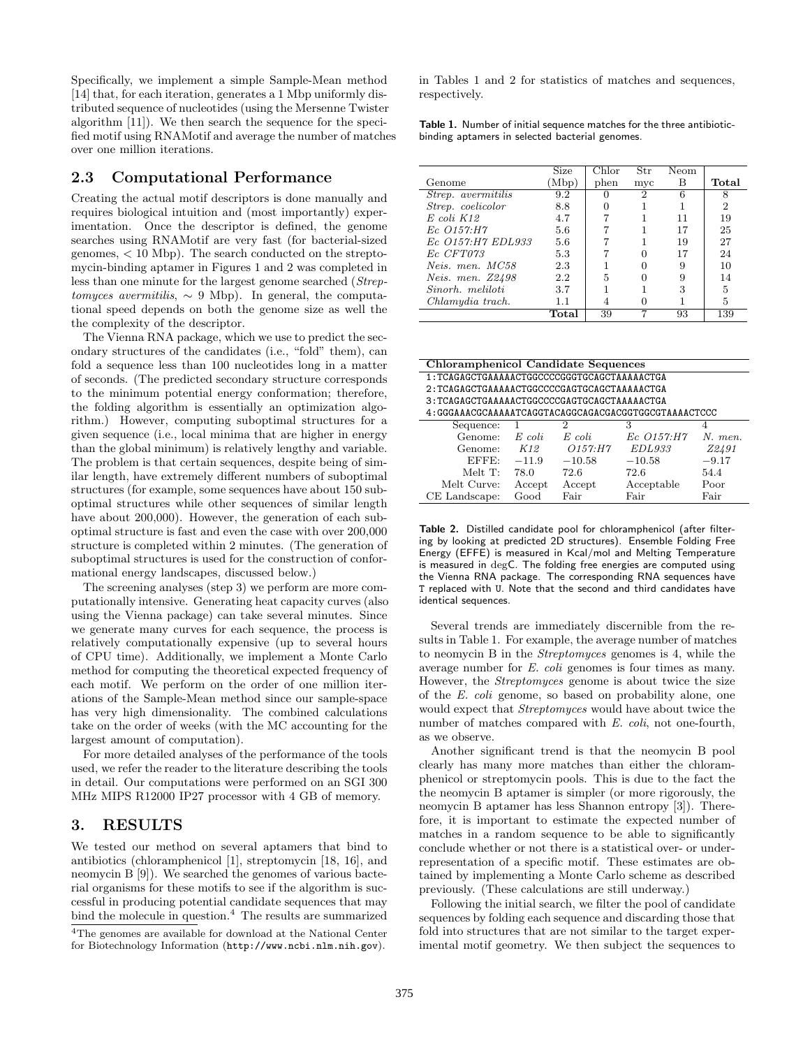Specifically, we implement a simple Sample-Mean method [14] that, for each iteration, generates a 1 Mbp uniformly distributed sequence of nucleotides (using the Mersenne Twister algorithm [11]). We then search the sequence for the specified motif using RNAMotif and average the number of matches over one million iterations.

### **2.3 Computational Performance**

Creating the actual motif descriptors is done manually and requires biological intuition and (most importantly) experimentation. Once the descriptor is defined, the genome searches using RNAMotif are very fast (for bacterial-sized genomes,  $< 10$  Mbp). The search conducted on the streptomycin-binding aptamer in Figures 1 and 2 was completed in less than one minute for the largest genome searched (Streptomyces avermitilis,  $\sim 9$  Mbp). In general, the computational speed depends on both the genome size as well the the complexity of the descriptor.

The Vienna RNA package, which we use to predict the secondary structures of the candidates (i.e., "fold" them), can fold a sequence less than 100 nucleotides long in a matter of seconds. (The predicted secondary structure corresponds to the minimum potential energy conformation; therefore, the folding algorithm is essentially an optimization algorithm.) However, computing suboptimal structures for a given sequence (i.e., local minima that are higher in energy than the global minimum) is relatively lengthy and variable. The problem is that certain sequences, despite being of similar length, have extremely different numbers of suboptimal structures (for example, some sequences have about 150 suboptimal structures while other sequences of similar length have about 200,000). However, the generation of each suboptimal structure is fast and even the case with over 200,000 structure is completed within 2 minutes. (The generation of suboptimal structures is used for the construction of conformational energy landscapes, discussed below.)

The screening analyses (step 3) we perform are more computationally intensive. Generating heat capacity curves (also using the Vienna package) can take several minutes. Since we generate many curves for each sequence, the process is relatively computationally expensive (up to several hours of CPU time). Additionally, we implement a Monte Carlo method for computing the theoretical expected frequency of each motif. We perform on the order of one million iterations of the Sample-Mean method since our sample-space has very high dimensionality. The combined calculations take on the order of weeks (with the MC accounting for the largest amount of computation).

For more detailed analyses of the performance of the tools used, we refer the reader to the literature describing the tools in detail. Our computations were performed on an SGI 300 MHz MIPS R12000 IP27 processor with 4 GB of memory.

# **3. RESULTS**

We tested our method on several aptamers that bind to antibiotics (chloramphenicol [1], streptomycin [18, 16], and neomycin B [9]). We searched the genomes of various bacterial organisms for these motifs to see if the algorithm is successful in producing potential candidate sequences that may bind the molecule in question.<sup>4</sup> The results are summarized

in Tables 1 and 2 for statistics of matches and sequences, respectively.

**Table 1.** Number of initial sequence matches for the three antibioticbinding aptamers in selected bacterial genomes.

|                    | Size  | Chlor | Str | Neom |                |
|--------------------|-------|-------|-----|------|----------------|
| Genome             | (Mbp) | phen  | myc | в    | Total          |
| Strep. avermitilis | 9.2   |       | 2   | 6    | 8              |
| Strep. coelicolor  | 8.8   |       |     |      | $\overline{2}$ |
| $E$ coli $K12$     | 4.7   |       |     | 11   | 19             |
| Ec 0157:H7         | 5.6   |       |     | 17   | 25             |
| Ec 0157:H7 EDL933  | 5.6   |       |     | 19   | 27             |
| Ec CFT073          | 5.3   |       |     | 17   | 24             |
| Neis, men. MC58    | 2.3   |       |     |      | 10             |
| Neis. men. Z2498   | 2.2   | 5     |     |      | 14             |
| Sinorh, meliloti   | 3.7   |       |     | 3    | 5              |
| Chlamydia trach.   | 1.1   |       |     |      | 5              |
|                    | Total | 39    |     | 93   | 139            |

| Chloramphenicol Candidate Sequences                   |          |          |            |           |  |  |  |  |
|-------------------------------------------------------|----------|----------|------------|-----------|--|--|--|--|
| 1: TCAGAGCTGAAAAACTGGCCCCGGGTGCAGCTAAAAACTGA          |          |          |            |           |  |  |  |  |
| 2: TCAGAGCTGAAAAACTGGCCCCGAGTGCAGCTAAAAACTGA          |          |          |            |           |  |  |  |  |
| 3: TCAGAGCTGAAAAACTGGCCCCGAGTGCAGCTAAAAACTGA          |          |          |            |           |  |  |  |  |
| 4: GGGAAACGCAAAAATCAGGTACAGGCAGACGACGGTGGCGTAAAACTCCC |          |          |            |           |  |  |  |  |
| Sequence:                                             |          | 2        | 3          |           |  |  |  |  |
| Genome:                                               | $E$ coli | E coli   | Ec 0157:H7 | $N.$ men. |  |  |  |  |
| Genome:                                               | K12      | O157:H7  | EDL933     | Z2491     |  |  |  |  |
| EFFE:                                                 | $-11.9$  | $-10.58$ | $-10.58$   | $-9.17$   |  |  |  |  |
| Melt T:                                               | 78.0     | 72.6     | 72.6       | 54.4      |  |  |  |  |
| Melt Curve:                                           | Accept   | Accept   | Acceptable | Poor      |  |  |  |  |
| CE Landscape:                                         | Good     | Fair     | Fair       | Fair      |  |  |  |  |

**Table 2.** Distilled candidate pool for chloramphenicol (after filtering by looking at predicted 2D structures). Ensemble Folding Free Energy (EFFE) is measured in Kcal/mol and Melting Temperature is measured in degC. The folding free energies are computed using the Vienna RNA package. The corresponding RNA sequences have T replaced with U. Note that the second and third candidates have identical sequences.

Several trends are immediately discernible from the results in Table 1. For example, the average number of matches to neomycin B in the Streptomyces genomes is 4, while the average number for E. coli genomes is four times as many. However, the Streptomyces genome is about twice the size of the E. coli genome, so based on probability alone, one would expect that *Streptomyces* would have about twice the number of matches compared with E. coli, not one-fourth, as we observe.

Another significant trend is that the neomycin B pool clearly has many more matches than either the chloramphenicol or streptomycin pools. This is due to the fact the the neomycin B aptamer is simpler (or more rigorously, the neomycin B aptamer has less Shannon entropy [3]). Therefore, it is important to estimate the expected number of matches in a random sequence to be able to significantly conclude whether or not there is a statistical over- or underrepresentation of a specific motif. These estimates are obtained by implementing a Monte Carlo scheme as described previously. (These calculations are still underway.)

Following the initial search, we filter the pool of candidate sequences by folding each sequence and discarding those that fold into structures that are not similar to the target experimental motif geometry. We then subject the sequences to

<sup>4</sup>The genomes are available for download at the National Center for Biotechnology Information (http://www.ncbi.nlm.nih.gov).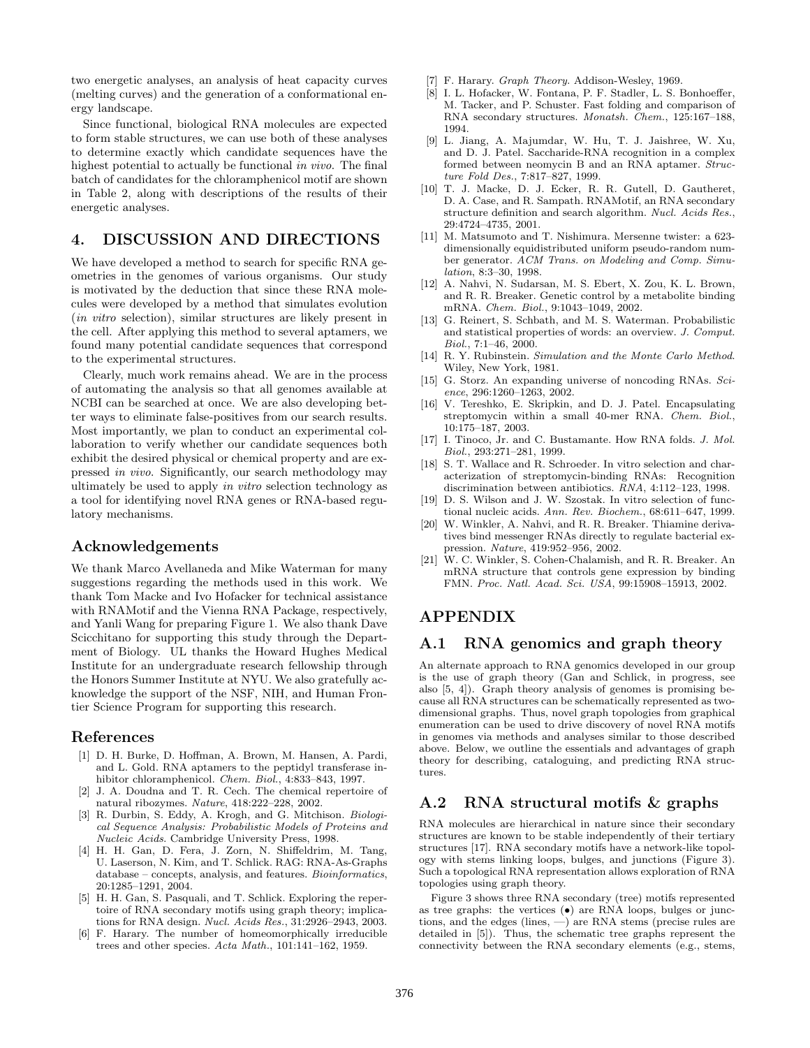two energetic analyses, an analysis of heat capacity curves (melting curves) and the generation of a conformational energy landscape.

Since functional, biological RNA molecules are expected to form stable structures, we can use both of these analyses to determine exactly which candidate sequences have the highest potential to actually be functional in vivo. The final batch of candidates for the chloramphenicol motif are shown in Table 2, along with descriptions of the results of their energetic analyses.

# **4. DISCUSSION AND DIRECTIONS**

We have developed a method to search for specific RNA geometries in the genomes of various organisms. Our study is motivated by the deduction that since these RNA molecules were developed by a method that simulates evolution (in vitro selection), similar structures are likely present in the cell. After applying this method to several aptamers, we found many potential candidate sequences that correspond to the experimental structures.

Clearly, much work remains ahead. We are in the process of automating the analysis so that all genomes available at NCBI can be searched at once. We are also developing better ways to eliminate false-positives from our search results. Most importantly, we plan to conduct an experimental collaboration to verify whether our candidate sequences both exhibit the desired physical or chemical property and are expressed in vivo. Significantly, our search methodology may ultimately be used to apply in vitro selection technology as a tool for identifying novel RNA genes or RNA-based regulatory mechanisms.

# **Acknowledgements**

We thank Marco Avellaneda and Mike Waterman for many suggestions regarding the methods used in this work. We thank Tom Macke and Ivo Hofacker for technical assistance with RNAMotif and the Vienna RNA Package, respectively, and Yanli Wang for preparing Figure 1. We also thank Dave Scicchitano for supporting this study through the Department of Biology. UL thanks the Howard Hughes Medical Institute for an undergraduate research fellowship through the Honors Summer Institute at NYU. We also gratefully acknowledge the support of the NSF, NIH, and Human Frontier Science Program for supporting this research.

#### **References**

- [1] D. H. Burke, D. Hoffman, A. Brown, M. Hansen, A. Pardi, and L. Gold. RNA aptamers to the peptidyl transferase inhibitor chloramphenicol. Chem. Biol., 4:833–843, 1997.
- [2] J. A. Doudna and T. R. Cech. The chemical repertoire of natural ribozymes. Nature, 418:222–228, 2002.
- [3] R. Durbin, S. Eddy, A. Krogh, and G. Mitchison. Biological Sequence Analysis: Probabilistic Models of Proteins and Nucleic Acids. Cambridge University Press, 1998.
- [4] H. H. Gan, D. Fera, J. Zorn, N. Shiffeldrim, M. Tang, U. Laserson, N. Kim, and T. Schlick. RAG: RNA-As-Graphs database – concepts, analysis, and features. Bioinformatics, 20:1285–1291, 2004.
- [5] H. H. Gan, S. Pasquali, and T. Schlick. Exploring the repertoire of RNA secondary motifs using graph theory; implications for RNA design. Nucl. Acids Res., 31:2926–2943, 2003.
- [6] F. Harary. The number of homeomorphically irreducible trees and other species. Acta Math., 101:141–162, 1959.
- [7] F. Harary. Graph Theory. Addison-Wesley, 1969.
- [8] I. L. Hofacker, W. Fontana, P. F. Stadler, L. S. Bonhoeffer, M. Tacker, and P. Schuster. Fast folding and comparison of RNA secondary structures. Monatsh. Chem., 125:167–188, 1994.
- [9] L. Jiang, A. Majumdar, W. Hu, T. J. Jaishree, W. Xu, and D. J. Patel. Saccharide-RNA recognition in a complex formed between neomycin B and an RNA aptamer. Structure Fold Des., 7:817–827, 1999.
- [10] T. J. Macke, D. J. Ecker, R. R. Gutell, D. Gautheret, D. A. Case, and R. Sampath. RNAMotif, an RNA secondary structure definition and search algorithm. Nucl. Acids Res., 29:4724–4735, 2001.
- [11] M. Matsumoto and T. Nishimura. Mersenne twister: a 623 dimensionally equidistributed uniform pseudo-random number generator. ACM Trans. on Modeling and Comp. Simulation, 8:3–30, 1998.
- [12] A. Nahvi, N. Sudarsan, M. S. Ebert, X. Zou, K. L. Brown, and R. R. Breaker. Genetic control by a metabolite binding mRNA. Chem. Biol., 9:1043–1049, 2002.
- [13] G. Reinert, S. Schbath, and M. S. Waterman. Probabilistic and statistical properties of words: an overview. J. Comput. Biol., 7:1–46, 2000.
- [14] R. Y. Rubinstein. Simulation and the Monte Carlo Method. Wiley, New York, 1981.
- [15] G. Storz. An expanding universe of noncoding RNAs. Science, 296:1260–1263, 2002.
- [16] V. Tereshko, E. Skripkin, and D. J. Patel. Encapsulating streptomycin within a small 40-mer RNA. Chem. Biol., 10:175–187, 2003.
- [17] I. Tinoco, Jr. and C. Bustamante. How RNA folds. *J. Mol.* Biol., 293:271–281, 1999.
- [18] S. T. Wallace and R. Schroeder. In vitro selection and characterization of streptomycin-binding RNAs: Recognition discrimination between antibiotics. RNA, 4:112–123, 1998.
- [19] D. S. Wilson and J. W. Szostak. In vitro selection of functional nucleic acids. Ann. Rev. Biochem., 68:611–647, 1999.
- [20] W. Winkler, A. Nahvi, and R. R. Breaker. Thiamine derivatives bind messenger RNAs directly to regulate bacterial expression. Nature, 419:952–956, 2002.
- [21] W. C. Winkler, S. Cohen-Chalamish, and R. R. Breaker. An mRNA structure that controls gene expression by binding FMN. Proc. Natl. Acad. Sci. USA, 99:15908–15913, 2002.

### **APPENDIX**

# **A.1 RNA genomics and graph theory**

An alternate approach to RNA genomics developed in our group is the use of graph theory (Gan and Schlick, in progress, see also [5, 4]). Graph theory analysis of genomes is promising because all RNA structures can be schematically represented as twodimensional graphs. Thus, novel graph topologies from graphical enumeration can be used to drive discovery of novel RNA motifs in genomes via methods and analyses similar to those described above. Below, we outline the essentials and advantages of graph theory for describing, cataloguing, and predicting RNA structures.

### **A.2 RNA structural motifs & graphs**

RNA molecules are hierarchical in nature since their secondary structures are known to be stable independently of their tertiary structures [17]. RNA secondary motifs have a network-like topology with stems linking loops, bulges, and junctions (Figure 3). Such a topological RNA representation allows exploration of RNA topologies using graph theory.

Figure 3 shows three RNA secondary (tree) motifs represented as tree graphs: the vertices  $\left(\bullet\right)$  are RNA loops, bulges or junctions, and the edges (lines, —) are RNA stems (precise rules are detailed in [5]). Thus, the schematic tree graphs represent the connectivity between the RNA secondary elements (e.g., stems,